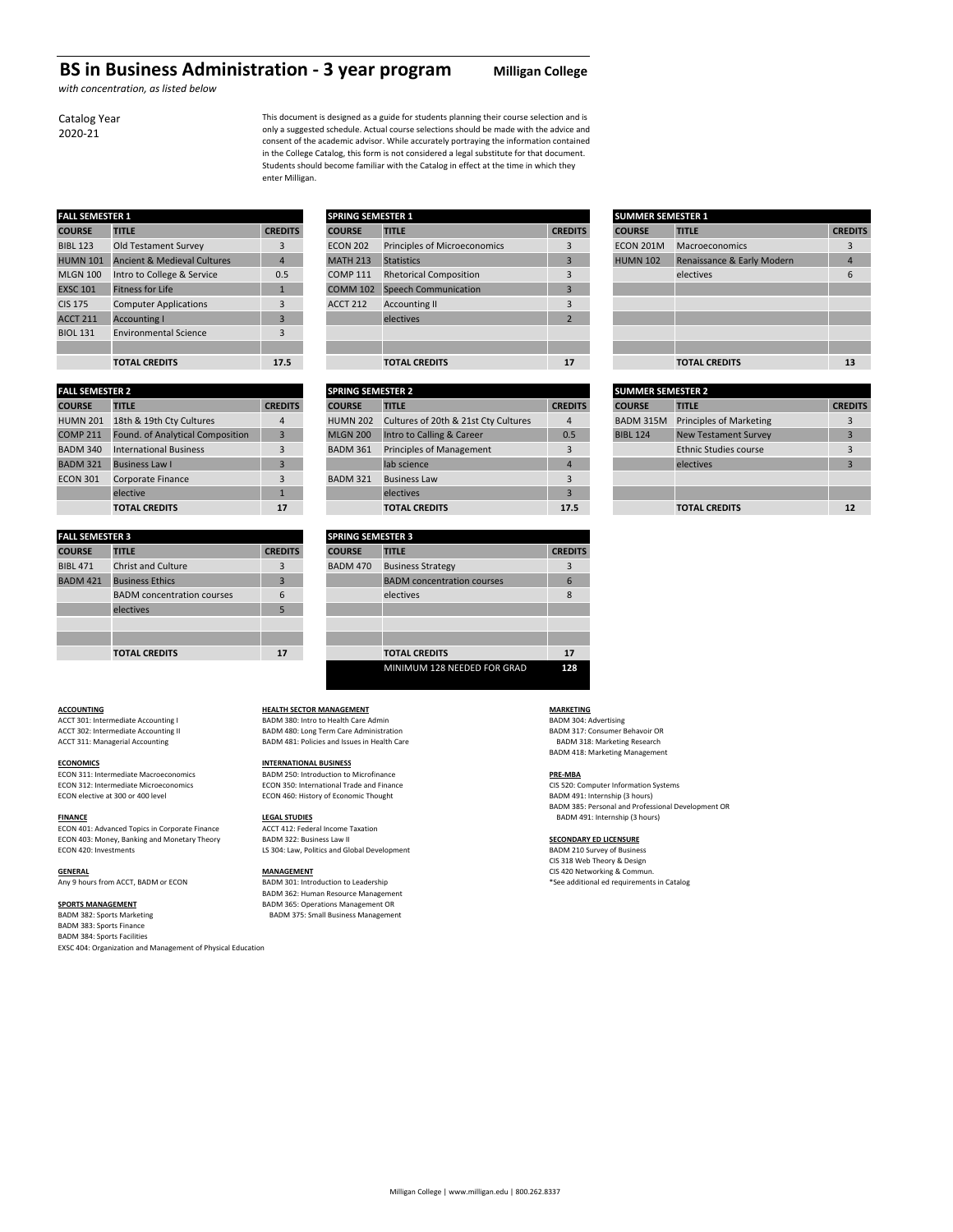## **BS in Business Administration ‐ 3 year program Milligan College**

*with concentration, as listed below*

This document is designed as a guide for students planning their course selection and is only a suggested schedule. Actual course selections should be made with the advice and consent of the academic advisor. While accurately portraying the information contained in the College Catalog, this form is not considered a legal substitute for that document. Students should become familiar with the Catalog in effect at the time in which they enter Milligan.

| <b>FALL SEMESTER 1</b> |                                        |                | <b>SPRING SEMESTER 1</b> |                                     |                |
|------------------------|----------------------------------------|----------------|--------------------------|-------------------------------------|----------------|
| <b>COURSE</b>          | <b>TITLE</b>                           | <b>CREDITS</b> | <b>COURSE</b>            | <b>TITLE</b>                        | <b>CRED</b>    |
| <b>BIBL 123</b>        | Old Testament Survey                   | 3              | <b>ECON 202</b>          | <b>Principles of Microeconomics</b> | 3              |
| <b>HUMN 101</b>        | <b>Ancient &amp; Medieval Cultures</b> | $\overline{4}$ | <b>MATH 213</b>          | <b>Statistics</b>                   | 3              |
| <b>MLGN 100</b>        | Intro to College & Service             | 0.5            | <b>COMP 111</b>          | <b>Rhetorical Composition</b>       | 3              |
| <b>EXSC 101</b>        | <b>Fitness for Life</b>                | 1              | <b>COMM 102</b>          | <b>Speech Communication</b>         | 3              |
| <b>CIS 175</b>         | <b>Computer Applications</b>           | 3              | <b>ACCT 212</b>          | <b>Accounting II</b>                | 3              |
| <b>ACCT 211</b>        | <b>Accounting I</b>                    | 3              |                          | electives                           | $\overline{2}$ |
| <b>BIOL 131</b>        | <b>Environmental Science</b>           | 3              |                          |                                     |                |
|                        |                                        |                |                          |                                     |                |
|                        | <b>TOTAL CREDITS</b>                   | 17.5           |                          | <b>TOTAL CREDITS</b>                | $\mathbf{1}$   |

|                        | <b>IVIAL CREDITS</b>             | --             | TUIAL CREDITS |                 |                                      | .              |
|------------------------|----------------------------------|----------------|---------------|-----------------|--------------------------------------|----------------|
|                        |                                  |                |               |                 |                                      |                |
| <b>FALL SEMESTER 2</b> |                                  |                |               |                 | <b>SPRING SEMESTER 2</b>             |                |
| <b>COURSE</b>          | <b>TITLE</b>                     | <b>CREDITS</b> | <b>COURSE</b> |                 | <b>TITLE</b>                         | <b>CRED</b>    |
| <b>HUMN 201</b>        | 18th & 19th Cty Cultures         | $\overline{4}$ |               | <b>HUMN 202</b> | Cultures of 20th & 21st Cty Cultures | $\overline{4}$ |
| <b>COMP 211</b>        | Found. of Analytical Composition | 3              |               | <b>MLGN 200</b> | Intro to Calling & Career            | $\mathbf{0}$ . |
| <b>BADM 340</b>        | <b>International Business</b>    | 3              |               | <b>BADM 361</b> | <b>Principles of Management</b>      | 3              |
| <b>BADM 321</b>        | <b>Business Law I</b>            | 3              |               |                 | lab science                          | $\overline{4}$ |
| <b>ECON 301</b>        | Corporate Finance                | 3              |               | <b>BADM 321</b> | <b>Business Law</b>                  | 3              |
|                        | elective                         | 1              |               |                 | electives                            | 3              |
|                        |                                  |                |               |                 |                                      |                |

| <b>FALL SEMESTER 3</b> |                                   |                |                 | <b>SPRING SEMESTER 3</b>          |             |  |  |  |
|------------------------|-----------------------------------|----------------|-----------------|-----------------------------------|-------------|--|--|--|
| <b>COURSE</b>          | <b>TITLE</b>                      | <b>CREDITS</b> | <b>COURSE</b>   | <b>TITLE</b>                      | <b>CRED</b> |  |  |  |
| <b>BIBL 471</b>        | <b>Christ and Culture</b>         | 3              | <b>BADM 470</b> | <b>Business Strategy</b>          | 3           |  |  |  |
| <b>BADM 421</b>        | <b>Business Ethics</b>            | 3              |                 | <b>BADM</b> concentration courses | 6           |  |  |  |
|                        | <b>BADM</b> concentration courses | 6              |                 | electives                         | 8           |  |  |  |
|                        | electives                         | 5              |                 |                                   |             |  |  |  |
|                        |                                   |                |                 |                                   |             |  |  |  |
|                        |                                   |                |                 |                                   |             |  |  |  |
|                        | <b>TOTAL CREDITS</b>              | 17             |                 | <b>TOTAL CREDITS</b>              | 1           |  |  |  |

# **COURSE TITLE CREDITS COURSE TITLE CREDITS COURSE TITLE CREDITS** BIBL 123 Deniation Survey 202 Principles of Microeconomics 3 ECON 202 HUMATH 213 Statistics 4 MATH 213 Statistics 4 MATH 213 Renaissance  $\mathbb{H}$ COMP 111 Rhetorical Composition 3 EXSC 102 Expeech Communication 3 ACCT 212 Accounting II 3  $SPRING SEMESTER 1$

| <b>FALL SEMESTER 2</b> |                                  |                | <b>SPRING SEMESTER 2</b> |                                      |                | <b>SUMMER SEMESTER 2</b> |                              |                |  |  |
|------------------------|----------------------------------|----------------|--------------------------|--------------------------------------|----------------|--------------------------|------------------------------|----------------|--|--|
| <b>COURSE</b>          | <b>TITLE</b>                     | <b>CREDITS</b> | <b>COURSE</b>            | <b>TITLE</b>                         | <b>CREDITS</b> | <b>COURSE</b>            | <b>TITLE</b>                 | <b>CREDITS</b> |  |  |
| <b>HUMN 201</b>        | 18th & 19th Cty Cultures         | 4              | <b>HUMN 202</b>          | Cultures of 20th & 21st Cty Cultures | 4              | BADM 315M                | Principles of Marketing      |                |  |  |
| <b>COMP 211</b>        | Found. of Analytical Composition |                | <b>MLGN 200</b>          | Intro to Calling & Career            | 0.5            | <b>BIBL 124</b>          | <b>New Testament Survey</b>  |                |  |  |
| <b>BADM 340</b>        | <b>International Business</b>    | 3              | <b>BADM 361</b>          | Principles of Management             |                |                          | <b>Ethnic Studies course</b> |                |  |  |
| <b>BADM 321</b>        | <b>Business Law I</b>            |                |                          | lab science                          |                |                          | electives                    |                |  |  |
| <b>ECON 301</b>        | Corporate Finance                | 3              | <b>BADM 321</b>          | <b>Business Law</b>                  |                |                          |                              |                |  |  |
|                        | elective                         |                |                          | electives                            |                |                          |                              |                |  |  |
|                        | <b>TOTAL CREDITS</b>             | 17             |                          | <b>TOTAL CREDITS</b>                 | 17.5           |                          | <b>TOTAL CREDITS</b>         | 12             |  |  |

| <b>FALL SEMESTER 3</b> |                                   |                | <b>SPRING SEMESTER 3</b> |                                   |  |  |  |
|------------------------|-----------------------------------|----------------|--------------------------|-----------------------------------|--|--|--|
| <b>COURSE</b>          | <b>TITLE</b>                      | <b>CREDITS</b> | <b>COURSE</b>            | <b>TITLE</b>                      |  |  |  |
| <b>BIBL 471</b>        | <b>Christ and Culture</b>         | 3              | <b>BADM 470</b>          | <b>Business Strategy</b>          |  |  |  |
| <b>BADM 421</b>        | <b>Business Ethics</b>            | 3              |                          | <b>BADM</b> concentration courses |  |  |  |
|                        | <b>BADM</b> concentration courses | 6              |                          | electives                         |  |  |  |
|                        | electives                         | 5              |                          |                                   |  |  |  |
|                        |                                   |                |                          |                                   |  |  |  |
|                        |                                   |                |                          |                                   |  |  |  |
|                        | <b>TOTAL CREDITS</b>              | 17             |                          | <b>TOTAL CREDITS</b>              |  |  |  |
|                        |                                   |                |                          | MINIMUM 128 NEEDED FOR GRAD       |  |  |  |

ECON 311: Intermediate Macroeconomics **BADM 250: Introduction to Microfinance PRE-MBA**<br>
ECON 312: Intermediate Microeconomics **ECON 350: International Trade and Finance PRE-MBA** CIS 520: Computer Information Systems

ECON 401: Advanced Topics in Corporate Finance Taxation ACCT 412: Federal Income T<br>
ECON 403: Money. Banking and Monetary Theory BADM 322: Business Law II ECON 403: Money, Banking and Monetary Theory BADM 322: Business Law II<br>ECON 420: Investments **BADM 210 Survey of Business** LS 304: Law, Politics and Global Development **Example 19** BADM 210 Survey of Busines

**SPORTS MANAGEMENT** BADM 365: Operations Management OR BADM 383: Sports Finance BADM 384: Sports Facilities EXSC 404: Organization and Management of Physical Education

## **ACCOUNTING HEALTH SECTOR MANAGEMENT MARKETING**

ACCT 301: Intermediate Accounting I and the SADM 380: Intro to Health Care Admin and the SADM 304: Advertising<br>ACCT 302: Intermediate Accounting II and the SADM 480: Long Term Care Administration and the SADM 317: Consumer BADM 481: Policies and Issues in Health Care

## **ECONOMICS INTERNATIONAL BUSINESS**

ECON 312: Intermediate Microeconomics ECON 350: International Trade and Finance CIS 520: Computer Information Seconomic Seconomic Seconomic Thought<br>ECON elective at 300 or 400 level even systems CON 460: History of Economi ECON 460: History of Economic Thought

**FINANCE**<br> **FINANCE EXECUTE ACCLUDES**<br> **FINANCE EXECUTE ACCLUDE ACCLUDE ACCLUDE TO A CONSUMER TO A CONSUMER TO A CONSUMER TO A CONSUMER TO A CONSUMER TO A CONSUMER TO A CONSUMER TO A CONSUMER TO A CONSUMER TO A CONSUME** LS 304: Law, Politics and Global Development

BADM 362: Human Resource Management BADM 375: Small Business Management

ACCT 302: Intermediate Accounting II BADM 480: Long Term Care Administration and the Samuel BADM 317: Consumer Behavoir OF<br>ACCT 311: Managerial Accounting and the SADM 481: Policies and Issues in Health Care BADM 418: Marketing Management

BADM 385: Personal and Professional Development OR

CIS 318 Web Theory & Design **GENERAL** CIS 420 Networking & Commun.<br>
Any 9 hours from ACCT, BADM or ECON **BADM 301:** Introduction to Leadership **Any 9 hours from ACCT, BADM or ECON** \*See additional ed requirements in Catalog

| ER 1                                   |                | <b>SPRING SEMESTER 1</b> | <b>SUMMER SEMESTER 1</b>            |                |                 |                                           |                            |                |
|----------------------------------------|----------------|--------------------------|-------------------------------------|----------------|-----------------|-------------------------------------------|----------------------------|----------------|
| <b>TITLE</b>                           | <b>CREDITS</b> | <b>COURSE</b>            | <b>TITLE</b>                        | <b>CREDITS</b> | <b>COURSE</b>   |                                           | <b>TITLE</b>               | <b>CREDITS</b> |
| Old Testament Survey                   | 3              | <b>ECON 202</b>          | <b>Principles of Microeconomics</b> |                |                 | <b>ECON 201M</b><br><b>Macroeconomics</b> |                            |                |
| <b>Ancient &amp; Medieval Cultures</b> | 4              | <b>MATH 213</b>          | <b>Statistics</b>                   |                | <b>HUMN 102</b> |                                           | Renaissance & Early Modern | $\Delta$       |
| Intro to College & Service             | 0.5            | <b>COMP 111</b>          | <b>Rhetorical Composition</b>       |                |                 |                                           | electives                  | 6              |
| Fitness for Life                       |                | <b>COMM 102</b>          | Speech Communication                |                |                 |                                           |                            |                |
| <b>Computer Applications</b>           | 3              | <b>ACCT 212</b>          | <b>Accounting II</b>                |                |                 |                                           |                            |                |
| <b>Accounting I</b>                    |                |                          | electives                           |                |                 |                                           |                            |                |
| <b>Environmental Science</b>           | 3              |                          |                                     |                |                 |                                           |                            |                |
|                                        |                |                          |                                     |                |                 |                                           |                            |                |
| <b>TOTAL CREDITS</b>                   | 17.5           |                          | <b>TOTAL CREDITS</b>                | 17             |                 |                                           | <b>TOTAL CREDITS</b>       | 13             |

| <b>SUMMER SEMESTER 2</b> |                                |                |
|--------------------------|--------------------------------|----------------|
| <b>COURSE</b>            | <b>TITLE</b>                   | <b>CREDITS</b> |
| BADM 315M                | <b>Principles of Marketing</b> | 3              |
| <b>BIBL 124</b>          | <b>New Testament Survey</b>    | 3              |
|                          | <b>Ethnic Studies course</b>   | 3              |
|                          | electives                      | 3              |
|                          |                                |                |
|                          |                                |                |
|                          | <b>TOTAL CREDITS</b>           | 12             |

Catalog Year 2020‐21